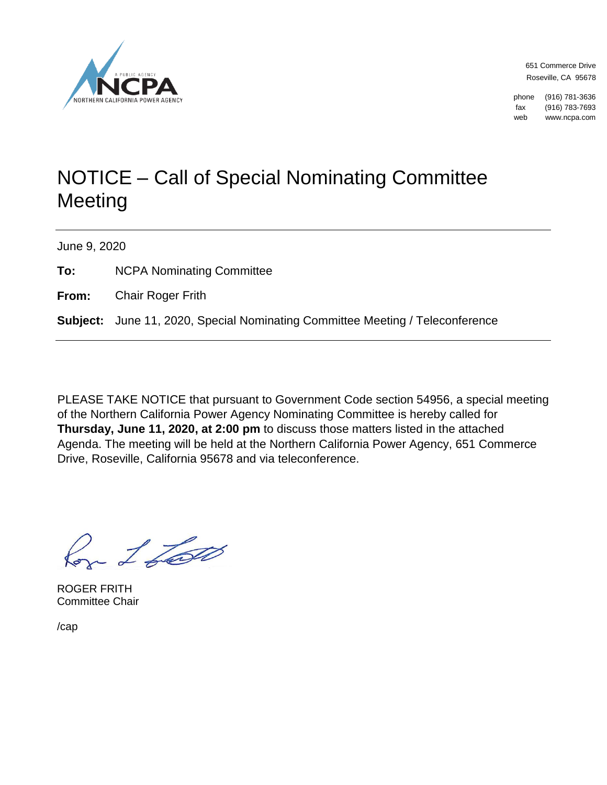

651 Commerce Drive Roseville, CA 95678

phone (916) 781-3636 fax (916) 783-7693 web www.ncpa.com

## NOTICE – Call of Special Nominating Committee Meeting

June 9, 2020

**To:** NCPA Nominating Committee

**From:** Chair Roger Frith

**Subject:** June 11, 2020, Special Nominating Committee Meeting / Teleconference

PLEASE TAKE NOTICE that pursuant to Government Code section 54956, a special meeting of the Northern California Power Agency Nominating Committee is hereby called for **Thursday, June 11, 2020, at 2:00 pm** to discuss those matters listed in the attached Agenda. The meeting will be held at the Northern California Power Agency, 651 Commerce Drive, Roseville, California 95678 and via teleconference.

 $-1$  for

ROGER FRITH Committee Chair

/cap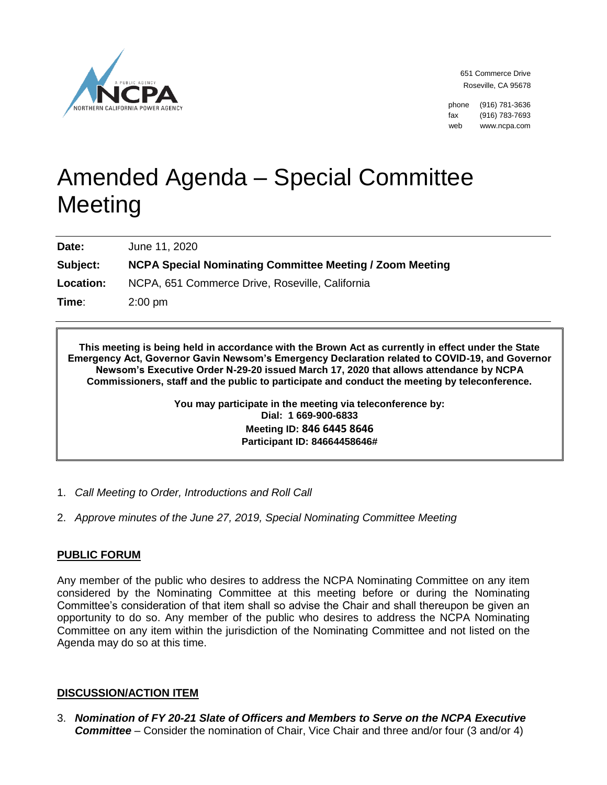

651 Commerce Drive Roseville, CA 95678

phone (916) 781-3636 fax (916) 783-7693 web www.ncpa.com

# Amended Agenda – Special Committee **Meeting**

**Date:** June 11, 2020

**Subject: NCPA Special Nominating Committee Meeting / Zoom Meeting**

**Location:** NCPA, 651 Commerce Drive, Roseville, California

**Time**: 2:00 pm

**This meeting is being held in accordance with the Brown Act as currently in effect under the State Emergency Act, Governor Gavin Newsom's Emergency Declaration related to COVID-19, and Governor Newsom's Executive Order N-29-20 issued March 17, 2020 that allows attendance by NCPA Commissioners, staff and the public to participate and conduct the meeting by teleconference.**

> **You may participate in the meeting via teleconference by: Dial: 1 669-900-6833 Meeting ID: 846 6445 8646 Participant ID: 84664458646#**

- 1. *Call Meeting to Order, Introductions and Roll Call*
- 2. *Approve minutes of the June 27, 2019, Special Nominating Committee Meeting*

#### **PUBLIC FORUM**

Any member of the public who desires to address the NCPA Nominating Committee on any item considered by the Nominating Committee at this meeting before or during the Nominating Committee's consideration of that item shall so advise the Chair and shall thereupon be given an opportunity to do so. Any member of the public who desires to address the NCPA Nominating Committee on any item within the jurisdiction of the Nominating Committee and not listed on the Agenda may do so at this time.

#### **DISCUSSION/ACTION ITEM**

3. *Nomination of FY 20-21 Slate of Officers and Members to Serve on the NCPA Executive Committee* – Consider the nomination of Chair, Vice Chair and three and/or four (3 and/or 4)